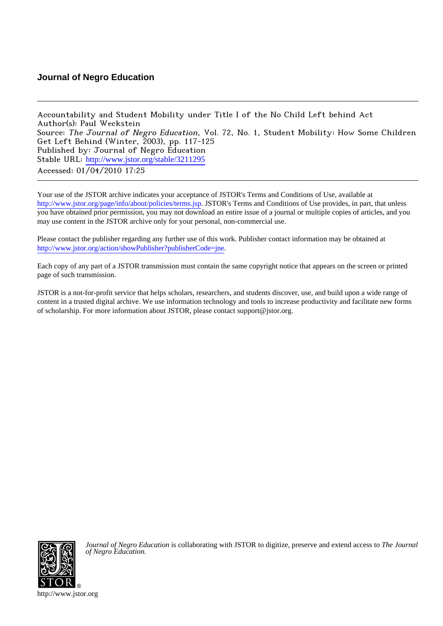# **Journal of Negro Education**

Accountability and Student Mobility under Title I of the No Child Left behind Act Author(s): Paul Weckstein Source: The Journal of Negro Education, Vol. 72, No. 1, Student Mobility: How Some Children Get Left Behind (Winter, 2003), pp. 117-125 Published by: Journal of Negro Education Stable URL: [http://www.jstor.org/stable/3211295](http://www.jstor.org/stable/3211295?origin=JSTOR-pdf) Accessed: 01/04/2010 17:25

Your use of the JSTOR archive indicates your acceptance of JSTOR's Terms and Conditions of Use, available at <http://www.jstor.org/page/info/about/policies/terms.jsp>. JSTOR's Terms and Conditions of Use provides, in part, that unless you have obtained prior permission, you may not download an entire issue of a journal or multiple copies of articles, and you may use content in the JSTOR archive only for your personal, non-commercial use.

Please contact the publisher regarding any further use of this work. Publisher contact information may be obtained at <http://www.jstor.org/action/showPublisher?publisherCode=jne>.

Each copy of any part of a JSTOR transmission must contain the same copyright notice that appears on the screen or printed page of such transmission.

JSTOR is a not-for-profit service that helps scholars, researchers, and students discover, use, and build upon a wide range of content in a trusted digital archive. We use information technology and tools to increase productivity and facilitate new forms of scholarship. For more information about JSTOR, please contact support@jstor.org.



*Journal of Negro Education* is collaborating with JSTOR to digitize, preserve and extend access to *The Journal of Negro Education.*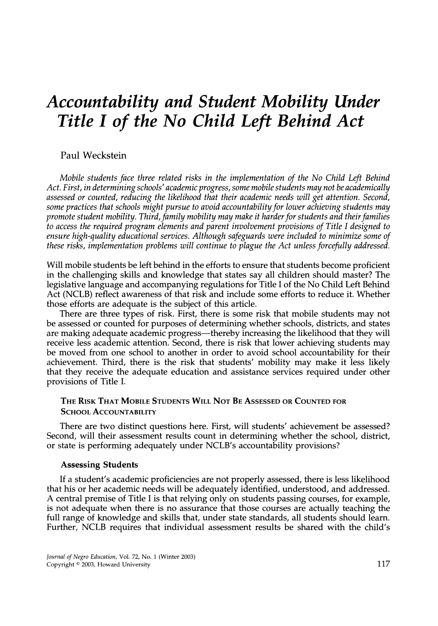# **Accountability and Student Mobility Under Title I of the No Child Left Behind Act**

# **Paul Weckstein**

**Mobile students face three related risks in the implementation of the No Child Left Behind Act. First, in determining schools' academic progress, some mobile students may not be academically assessed or counted, reducing the likelihood that their academic needs will get attention. Second, some practices that schools might pursue to avoid accountabilityfor lower achieving students may**  promote student mobility. Third, family mobility may make it harder for students and their families **to access the required program elements and parent involvement provisions of Title I designed to ensure high-quality educational services. Although safeguards were included to minimize some of these risks, implementation problems will continue to plague the Act unless forcefully addressed.** 

**Will mobile students be left behind in the efforts to ensure that students become proficient in the challenging skills and knowledge that states say all children should master? The legislative language and accompanying regulations for Title I of the No Child Left Behind Act (NCLB) reflect awareness of that risk and include some efforts to reduce it. Whether those efforts are adequate is the subject of this article.** 

**There are three types of risk. First, there is some risk that mobile students may not be assessed or counted for purposes of determining whether schools, districts, and states**  are making adequate academic progress—thereby increasing the likelihood that they will **receive less academic attention. Second, there is risk that lower achieving students may be moved from one school to another in order to avoid school accountability for their achievement. Third, there is the risk that students' mobility may make it less likely that they receive the adequate education and assistance services required under other provisions of Title I.** 

# **THE RISK THAT MOBILE STUDENTS WILL NOT BE ASSESSED OR COUNTED FOR SCHOOL ACCOUNTABILITY**

**There are two distinct questions here. First, will students' achievement be assessed? Second, will their assessment results count in determining whether the school, district, or state is performing adequately under NCLB's accountability provisions?** 

#### **Assessing Students**

**If a student's academic proficiencies are not properly assessed, there is less likelihood that his or her academic needs will be adequately identified, understood, and addressed. A central premise of Title I is that relying only on students passing courses, for example, is not adequate when there is no assurance that those courses are actually teaching the full range of knowledge and skills that, under state standards, all students should learn. Further, NCLB requires that individual assessment results be shared with the child's**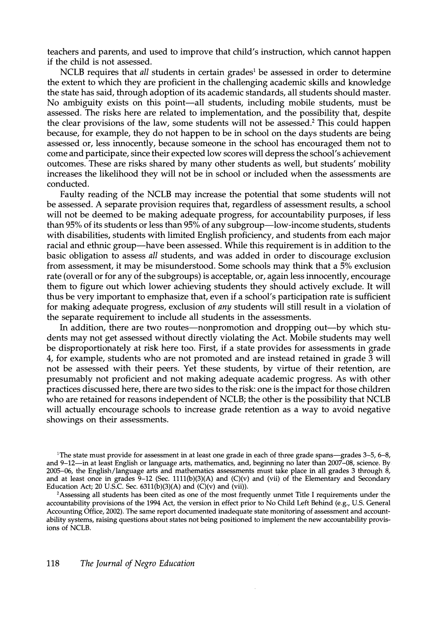**teachers and parents, and used to improve that child's instruction, which cannot happen if the child is not assessed.** 

NCLB requires that *all* students in certain grades<sup>1</sup> be assessed in order to determine **the extent to which they are proficient in the challenging academic skills and knowledge the state has said, through adoption of its academic standards, all students should master. No ambiguity exists on this point-all students, including mobile students, must be assessed. The risks here are related to implementation, and the possibility that, despite the clear provisions of the law, some students will not be assessed.2 This could happen because, for example, they do not happen to be in school on the days students are being assessed or, less innocently, because someone in the school has encouraged them not to come and participate, since their expected low scores will depress the school's achievement outcomes. These are risks shared by many other students as well, but students' mobility increases the likelihood they will not be in school or included when the assessments are conducted.** 

**Faulty reading of the NCLB may increase the potential that some students will not be assessed. A separate provision requires that, regardless of assessment results, a school will not be deemed to be making adequate progress, for accountability purposes, if less than 95% of its students or less than 95% of any subgroup-low-income students, students with disabilities, students with limited English proficiency, and students from each major racial and ethnic group-have been assessed. While this requirement is in addition to the basic obligation to assess all students, and was added in order to discourage exclusion from assessment, it may be misunderstood. Some schools may think that a 5% exclusion rate (overall or for any of the subgroups) is acceptable, or, again less innocently, encourage them to figure out which lower achieving students they should actively exclude. It will thus be very important to emphasize that, even if a school's participation rate is sufficient for making adequate progress, exclusion of any students will still result in a violation of the separate requirement to include all students in the assessments.** 

In addition, there are two routes—nonpromotion and dropping out—by which stu**dents may not get assessed without directly violating the Act. Mobile students may well be disproportionately at risk here too. First, if a state provides for assessments in grade 4, for example, students who are not promoted and are instead retained in grade 3 will not be assessed with their peers. Yet these students, by virtue of their retention, are presumably not proficient and not making adequate academic progress. As with other practices discussed here, there are two sides to the risk: one is the impact for those children who are retained for reasons independent of NCLB; the other is the possibility that NCLB will actually encourage schools to increase grade retention as a way to avoid negative showings on their assessments.** 

**<sup>1</sup>The state must provide for assessment in at least one grade in each of three grade spans-grades 3-5, 6-8, and 9-12-in at least English or language arts, mathematics, and, beginning no later than 2007-08, science. By 2005-06, the English/language arts and mathematics assessments must take place in all grades 3 through 8, and at least once in grades 9-12 (Sec. 1111(b)(3)(A) and (C)(v) and (vii) of the Elementary and Secondary Education Act; 20 U.S.C. Sec. 6311(b)(3)(A) and (C)(v) and (vii)).** 

**<sup>2</sup>Assessing all students has been cited as one of the most frequently unmet Title I requirements under the accountability provisions of the 1994 Act, the version in effect prior to No Child Left Behind (e.g., U.S. General Accounting Office, 2002). The same report documented inadequate state monitoring of assessment and accountability systems, raising questions about states not being positioned to implement the new accountability provisions of NCLB.**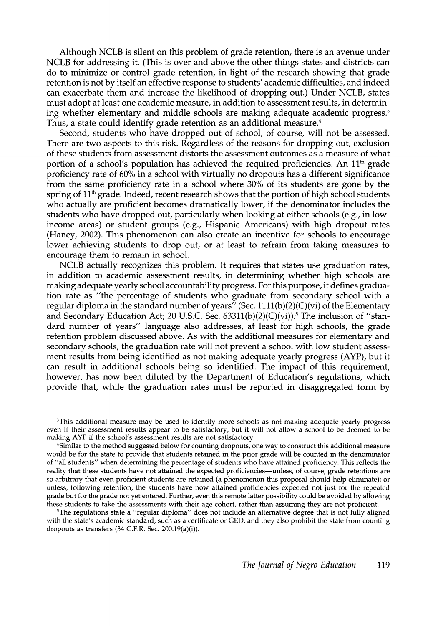**Although NCLB is silent on this problem of grade retention, there is an avenue under NCLB for addressing it. (This is over and above the other things states and districts can do to minimize or control grade retention, in light of the research showing that grade retention is not by itself an effective response to students' academic difficulties, and indeed can exacerbate them and increase the likelihood of dropping out.) Under NCLB, states must adopt at least one academic measure, in addition to assessment results, in determining whether elementary and middle schools are making adequate academic progress.3 Thus, a state could identify grade retention as an additional measure.4** 

**Second, students who have dropped out of school, of course, will not be assessed. There are two aspects to this risk. Regardless of the reasons for dropping out, exclusion of these students from assessment distorts the assessment outcomes as a measure of what portion of a school's population has achieved the required proficiencies. An 11th grade proficiency rate of 60% in a school with virtually no dropouts has a different significance from the same proficiency rate in a school where 30% of its students are gone by the**  spring of 11<sup>th</sup> grade. Indeed, recent research shows that the portion of high school students **who actually are proficient becomes dramatically lower, if the denominator includes the students who have dropped out, particularly when looking at either schools (e.g., in lowincome areas) or student groups (e.g., Hispanic Americans) with high dropout rates (Haney, 2002). This phenomenon can also create an incentive for schools to encourage lower achieving students to drop out, or at least to refrain from taking measures to encourage them to remain in school.** 

**NCLB actually recognizes this problem. It requires that states use graduation rates, in addition to academic assessment results, in determining whether high schools are making adequate yearly school accountability progress. For this purpose, it defines graduation rate as "the percentage of students who graduate from secondary school with a regular diploma in the standard number of years" (Sec. 1111(b)(2)(C)(vi) of the Elementary**  and Secondary Education Act; 20 U.S.C. Sec. 63311(b)(2)(C)(vi)).<sup>5</sup> The inclusion of "stan**dard number of years" language also addresses, at least for high schools, the grade retention problem discussed above. As with the additional measures for elementary and secondary schools, the graduation rate will not prevent a school with low student assessment results from being identified as not making adequate yearly progress (AYP), but it can result in additional schools being so identified. The impact of this requirement, however, has now been diluted by the Department of Education's regulations, which provide that, while the graduation rates must be reported in disaggregated form by** 

**5The regulations state a "regular diploma" does not include an alternative degree that is not fully aligned with the state's academic standard, such as a certificate or GED, and they also prohibit the state from counting dropouts as transfers (34 C.F.R. Sec. 200.19(a)(i)).** 

**<sup>3</sup>This additional measure may be used to identify more schools as not making adequate yearly progress even if their assessment results appear to be satisfactory, but it will not allow a school to be deemed to be making AYP if the school's assessment results are not satisfactory.** 

**<sup>4</sup>Similar to the method suggested below for counting dropouts, one way to construct this additional measure would be for the state to provide that students retained in the prior grade will be counted in the denominator of "all students" when determining the percentage of students who have attained proficiency. This reflects the**  reality that these students have not attained the expected proficiencies-unless, of course, grade retentions are **so arbitrary that even proficient students are retained (a phenomenon this proposal should help eliminate); or unless, following retention, the students have now attained proficiencies expected not just for the repeated grade but for the grade not yet entered. Further, even this remote latter possibility could be avoided by allowing these students to take the assessments with their age cohort, rather than assuming they are not proficient.**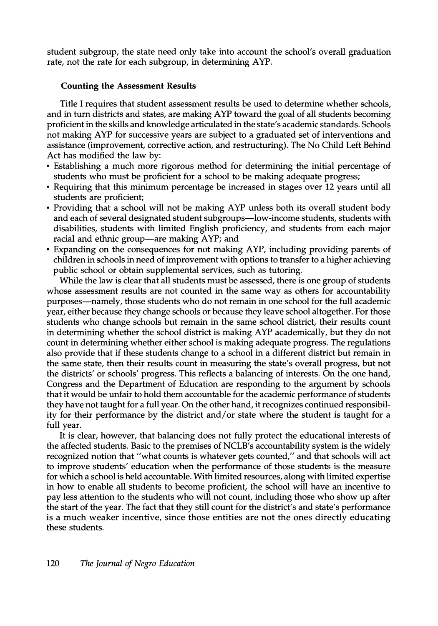**student subgroup, the state need only take into account the school's overall graduation rate, not the rate for each subgroup, in determining AYP.** 

# **Counting the Assessment Results**

**Title I requires that student assessment results be used to determine whether schools, and in turn districts and states, are making AYP toward the goal of all students becoming proficient in the skills and knowledge articulated in the state's academic standards. Schools not making AYP for successive years are subject to a graduated set of interventions and assistance (improvement, corrective action, and restructuring). The No Child Left Behind Act has modified the law by:** 

- **\* Establishing a much more rigorous method for determining the initial percentage of students who must be proficient for a school to be making adequate progress;**
- **\* Requiring that this minimum percentage be increased in stages over 12 years until all students are proficient;**
- **\* Providing that a school will not be making AYP unless both its overall student body and each of several designated student subgroups-low-income students, students with disabilities, students with limited English proficiency, and students from each major**  racial and ethnic group-are making AYP; and
- Expanding on the consequences for not making AYP, including providing parents of **children in schools in need of improvement with options to transfer to a higher achieving public school or obtain supplemental services, such as tutoring.**

**While the law is clear that all students must be assessed, there is one group of students whose assessment results are not counted in the same way as others for accountability purposes-namely, those students who do not remain in one school for the full academic year, either because they change schools or because they leave school altogether. For those students who change schools but remain in the same school district, their results count in determining whether the school district is making AYP academically, but they do not count in determining whether either school is making adequate progress. The regulations also provide that if these students change to a school in a different district but remain in the same state, then their results count in measuring the state's overall progress, but not the districts' or schools' progress. This reflects a balancing of interests. On the one hand, Congress and the Department of Education are responding to the argument by schools that it would be unfair to hold them accountable for the academic performance of students they have not taught for a full year. On the other hand, it recognizes continued responsibility for their performance by the district and/or state where the student is taught for a full year.** 

**It is clear, however, that balancing does not fully protect the educational interests of the affected students. Basic to the premises of NCLB's accountability system is the widely recognized notion that "what counts is whatever gets counted," and that schools will act to improve students' education when the performance of those students is the measure for which a school is held accountable. With limited resources, along with limited expertise in how to enable all students to become proficient, the school will have an incentive to pay less attention to the students who will not count, including those who show up after the start of the year. The fact that they still count for the district's and state's performance is a much weaker incentive, since those entities are not the ones directly educating these students.**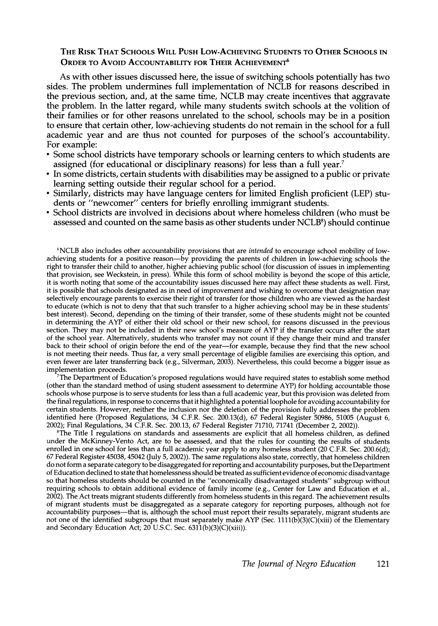### **THE RISK THAT SCHOOLS WILL PUSH LOW-ACHIEVING STUDENTS TO OTHER SCHOOLS IN ORDER TO AVOID ACCOUNTABILITY FOR THEIR ACHIEVEMENT<sup>6</sup>**

**As with other issues discussed here, the issue of switching schools potentially has two sides. The problem undermines full implementation of NCLB for reasons described in the previous section, and, at the same time, NCLB may create incentives that aggravate the problem. In the latter regard, while many students switch schools at the volition of their families or for other reasons unrelated to the school, schools may be in a position to ensure that certain other, low-achieving students do not remain in the school for a full academic year and are thus not counted for purposes of the school's accountability. For example:** 

- **\* Some school districts have temporary schools or learning centers to which students are assigned (for educational or disciplinary reasons) for less than a full year.7**
- **\* In some districts, certain students with disabilities may be assigned to a public or private learning setting outside their regular school for a period.**
- **\* Similarly, districts may have language centers for limited English proficient (LEP) students or "newcomer" centers for briefly enrolling immigrant students.**
- **\* School districts are involved in decisions about where homeless children (who must be assessed and counted on the same basis as other students under NCLB8) should continue**

<sup>6</sup> NCLB also includes other accountability provisions that are *intended* to encourage school mobility of low**achieving students for a positive reason-by providing the parents of children in low-achieving schools the right to transfer their child to another, higher achieving public school (for discussion of issues in implementing that provision, see Weckstein, in press). While this form of school mobility is beyond the scope of this article, it is worth noting that some of the accountability issues discussed here may affect these students as well. First, it is possible that schools designated as in need of improvement and wishing to overcome that designation may selectively encourage parents to exercise their right of transfer for those children who are viewed as the hardest to educate (which is not to deny that that such transfer to a higher achieving school may be in these students' best interest). Second, depending on the timing of their transfer, some of these students might not be counted in determining the AYP of either their old school or their new school, for reasons discussed in the previous section. They may not be included in their new school's measure of AYP if the transfer occurs after the start of the school year. Alternatively, students who transfer may not count if they change their mind and transfer**  back to their school of origin before the end of the year-for example, because they find that the new school **is not meeting their needs. Thus far, a very small percentage of eligible families are exercising this option, and even fewer are later transferring back (e.g., Silverman, 2003). Nevertheless, this could become a bigger issue as implementation proceeds.** 

**7The Department of Education's proposed regulations would have required states to establish some method (other than the standard method of using student assessment to determine AYP) for holding accountable those schools whose purpose is to serve students for less than a full academic year, but this provision was deleted from the final regulations, in response to concerns that it highlighted a potential loophole for avoiding accountability for certain students. However, neither the inclusion nor the deletion of the provision fully addresses the problem identified here (Proposed Regulations, 34 C.F.R. Sec. 200.13(d), 67 Federal Register 50986, 51005 (August 6, 2002); Final Regulations, 34 C.F.R. Sec. 200.13, 67 Federal Register 71710, 71741 (December 2, 2002)).** 

**8The Title I regulations on standards and assessments are explicit that all homeless children, as defined under the McKinney-Vento Act, are to be assessed, and that the rules for counting the results of students enrolled in one school for less than a full academic year apply to any homeless student (20 C.F.R. Sec. 200.6(d); 67 Federal Register 45038, 45042 (uly 5, 2002)). The same regulations also state, correctly, that homeless children do not form a separate category to be disaggregated for reporting and accountability purposes, but the Department of Education declined to state that homelessness should be treated as sufficient evidence of economic disadvantage so that homeless students should be counted in the "economically disadvantaged students" subgroup without requiring schools to obtain additional evidence of family income (e.g., Center for Law and Education et al., 2002). The Act treats migrant students differently from homeless students in this regard. The achievement results of migrant students must be disaggregated as a separate category for reporting purposes, although not for accountability purposes-that is, although the school must report their results separately, migrant students are not one of the identified subgroups that must separately make AYP (Sec. 1111(b)(3)(C)(xiii) of the Elementary and Secondary Education Act; 20 U.S.C. Sec. 6311(b)(3)(C)(xiii)).**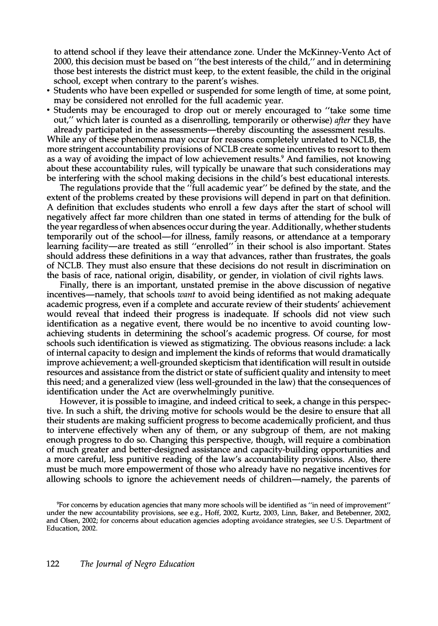**to attend school if they leave their attendance zone. Under the McKinney-Vento Act of 2000, this decision must be based on "the best interests of the child," and in determining those best interests the district must keep, to the extent feasible, the child in the original school, except when contrary to the parent's wishes.** 

- **\* Students who have been expelled or suspended for some length of time, at some point, may be considered not enrolled for the full academic year.**
- **\* Students may be encouraged to drop out or merely encouraged to "take some time out," which later is counted as a disenrolling, temporarily or otherwise) after they have already participated in the assessments-thereby discounting the assessment results.**

**While any of these phenomena may occur for reasons completely unrelated to NCLB, the more stringent accountability provisions of NCLB create some incentives to resort to them as a way of avoiding the impact of low achievement results.9 And families, not knowing about these accountability rules, will typically be unaware that such considerations may be interfering with the school making decisions in the child's best educational interests.** 

**The regulations provide that the "full academic year" be defined by the state, and the extent of the problems created by these provisions will depend in part on that definition. A definition that excludes students who enroll a few days after the start of school will negatively affect far more children than one stated in terms of attending for the bulk of the year regardless of when absences occur during the year. Additionally, whether students temporarily out of the school-for illness, family reasons, or attendance at a temporary**  learning facility—are treated as still "enrolled" in their school is also important. States **should address these definitions in a way that advances, rather than frustrates, the goals of NCLB. They must also ensure that these decisions do not result in discrimination on the basis of race, national origin, disability, or gender, in violation of civil rights laws.** 

**Finally, there is an important, unstated premise in the above discussion of negative**  incentives—namely, that schools *want* to avoid being identified as not making adequate **academic progress, even if a complete and accurate review of their students' achievement would reveal that indeed their progress is inadequate. If schools did not view such identification as a negative event, there would be no incentive to avoid counting lowachieving students in determining the school's academic progress. Of course, for most schools such identification is viewed as stigmatizing. The obvious reasons include: a lack of internal capacity to design and implement the kinds of reforms that would dramatically improve achievement; a well-grounded skepticism that identification will result in outside resources and assistance from the district or state of sufficient quality and intensity to meet this need; and a generalized view (less well-grounded in the law) that the consequences of identification under the Act are overwhelmingly punitive.** 

**However, it is possible to imagine, and indeed critical to seek, a change in this perspective. In such a shift, the driving motive for schools would be the desire to ensure that all their students are making sufficient progress to become academically proficient, and thus to intervene effectively when any of them, or any subgroup of them, are not making enough progress to do so. Changing this perspective, though, will require a combination of much greater and better-designed assistance and capacity-building opportunities and a more careful, less punitive reading of the law's accountability provisions. Also, there must be much more empowerment of those who already have no negative incentives for allowing schools to ignore the achievement needs of children-namely, the parents of** 

**<sup>9</sup>For concerns by education agencies that many more schools will be identified as "in need of improvement" under the new accountability provisions, see e.g., Hoff, 2002, Kurtz, 2003, Linn, Baker, and Betebenner, 2002, and Olsen, 2002; for concerns about education agencies adopting avoidance strategies, see U.S. Department of Education, 2002.**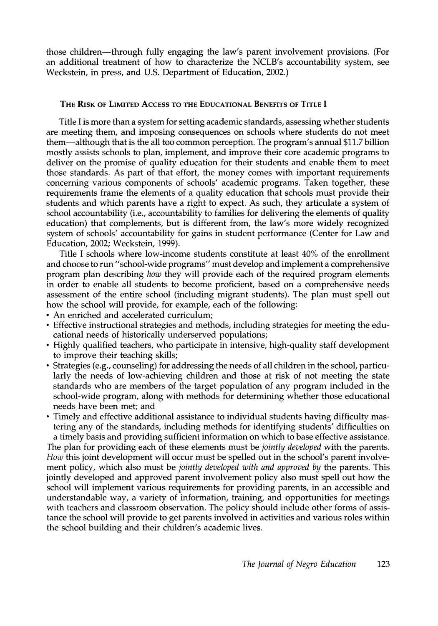**those children-through fully engaging the law's parent involvement provisions. (For an additional treatment of how to characterize the NCLB's accountability system, see Weckstein, in press, and U.S. Department of Education, 2002.)** 

#### **THE RISK OF LIMITED ACCESS TO THE EDUCATIONAL BENEFITS OF TITLE I**

**Title I is more than a system for setting academic standards, assessing whether students are meeting them, and imposing consequences on schools where students do not meet them-although that is the all too common perception. The program's annual \$11.7 billion mostly assists schools to plan, implement, and improve their core academic programs to deliver on the promise of quality education for their students and enable them to meet those standards. As part of that effort, the money comes with important requirements concerning various components of schools' academic programs. Taken together, these requirements frame the elements of a quality education that schools must provide their students and which parents have a right to expect. As such, they articulate a system of school accountability (i.e., accountability to families for delivering the elements of quality education) that complements, but is different from, the law's more widely recognized system of schools' accountability for gains in student performance (Center for Law and Education, 2002; Weckstein, 1999).** 

**Title I schools where low-income students constitute at least 40% of the enrollment and choose to run "school-wide programs" must develop and implement a comprehensive program plan describing how they will provide each of the required program elements in order to enable all students to become proficient, based on a comprehensive needs assessment of the entire school (including migrant students). The plan must spell out how the school will provide, for example, each of the following:** 

- **\* An enriched and accelerated curriculum;**
- **\* Effective instructional strategies and methods, including strategies for meeting the educational needs of historically underserved populations;**
- **\* Highly qualified teachers, who participate in intensive, high-quality staff development to improve their teaching skills;**
- **\* Strategies (e.g., counseling) for addressing the needs of all children in the school, particularly the needs of low-achieving children and those at risk of not meeting the state standards who are members of the target population of any program included in the school-wide program, along with methods for determining whether those educational needs have been met; and**
- **\* Timely and effective additional assistance to individual students having difficulty mastering any of the standards, including methods for identifying students' difficulties on a timely basis and providing sufficient information on which to base effective assistance.**

**The plan for providing each of these elements must be jointly developed with the parents. How this joint development will occur must be spelled out in the school's parent involvement policy, which also must be jointly developed with and approved by the parents. This jointly developed and approved parent involvement policy also must spell out how the school will implement various requirements for providing parents, in an accessible and understandable way, a variety of information, training, and opportunities for meetings with teachers and classroom observation. The policy should include other forms of assistance the school will provide to get parents involved in activities and various roles within the school building and their children's academic lives.**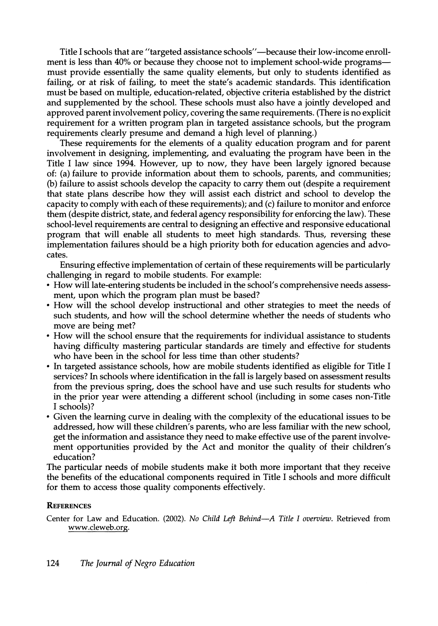**Title I schools that are "targeted assistance schools"-because their low-income enrollment is less than 40% or because they choose not to implement school-wide programsmust provide essentially the same quality elements, but only to students identified as failing, or at risk of failing, to meet the state's academic standards. This identification must be based on multiple, education-related, objective criteria established by the district and supplemented by the school. These schools must also have a jointly developed and approved parent involvement policy, covering the same requirements. (There is no explicit requirement for a written program plan in targeted assistance schools, but the program requirements clearly presume and demand a high level of planning.)** 

**These requirements for the elements of a quality education program and for parent involvement in designing, implementing, and evaluating the program have been in the Title I law since 1994. However, up to now, they have been largely ignored because of: (a) failure to provide information about them to schools, parents, and communities; (b) failure to assist schools develop the capacity to carry them out (despite a requirement that state plans describe how they will assist each district and school to develop the capacity to comply with each of these requirements); and (c) failure to monitor and enforce them (despite district, state, and federal agency responsibility for enforcing the law). These school-level requirements are central to designing an effective and responsive educational program that will enable all students to meet high standards. Thus, reversing these implementation failures should be a high priority both for education agencies and advocates.** 

**Ensuring effective implementation of certain of these requirements will be particularly challenging in regard to mobile students. For example:** 

- **\* How will late-entering students be included in the school's comprehensive needs assessment, upon which the program plan must be based?**
- **\* How will the school develop instructional and other strategies to meet the needs of such students, and how will the school determine whether the needs of students who move are being met?**
- **\* How will the school ensure that the requirements for individual assistance to students having difficulty mastering particular standards are timely and effective for students who have been in the school for less time than other students?**
- **\* In targeted assistance schools, how are mobile students identified as eligible for Title I services? In schools where identification in the fall is largely based on assessment results from the previous spring, does the school have and use such results for students who in the prior year were attending a different school (including in some cases non-Title I schools)?**
- **\* Given the learning curve in dealing with the complexity of the educational issues to be addressed, how will these children's parents, who are less familiar with the new school, get the information and assistance they need to make effective use of the parent involvement opportunities provided by the Act and monitor the quality of their children's education?**

**The particular needs of mobile students make it both more important that they receive the benefits of the educational components required in Title I schools and more difficult for them to access those quality components effectively.** 

#### **REFERENCES**

**Center for Law and Education. (2002). No Child Left Behind-A Title I overview. Retrieved from www.cleweb.org.**